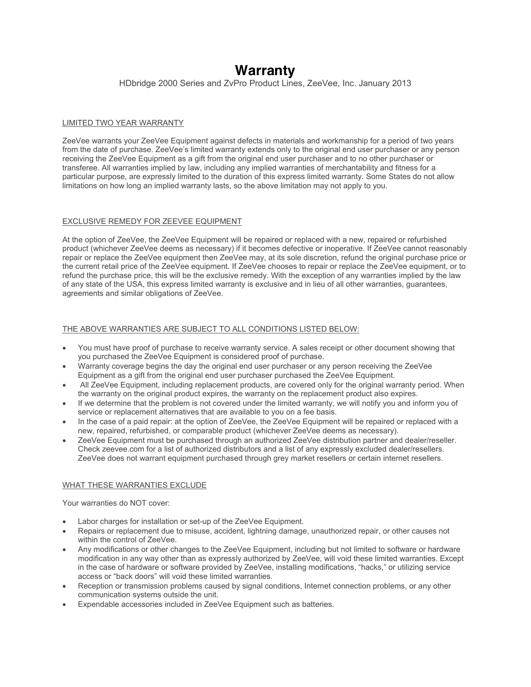# **Warranty**

HDbridge 2000 Series and ZvPro Product Lines, ZeeVee, Inc. January 2013

### LIMITED TWO YEAR WARRANTY

ZeeVee warrants your ZeeVee Equipment against defects in materials and workmanship for a period of two years from the date of purchase. ZeeVee's limited warranty extends only to the original end user purchaser or any person receiving the ZeeVee Equipment as a gift from the original end user purchaser and to no other purchaser or transferee. All warranties implied by law, including any implied warranties of merchantability and fitness for a particular purpose, are expressly limited to the duration of this express limited warranty. Some States do not allow limitations on how long an implied warranty lasts, so the above limitation may not apply to you.

## EXCLUSIVE REMEDY FOR ZEEVEE EQUIPMENT

At the option of ZeeVee, the ZeeVee Equipment will be repaired or replaced with a new, repaired or refurbished product (whichever ZeeVee deems as necessary) if it becomes defective or inoperative. If ZeeVee cannot reasonably repair or replace the ZeeVee equipment then ZeeVee may, at its sole discretion, refund the original purchase price or the current retail price of the ZeeVee equipment. If ZeeVee chooses to repair or replace the ZeeVee equipment, or to refund the purchase price, this will be the exclusive remedy. With the exception of any warranties implied by the law of any state of the USA, this express limited warranty is exclusive and in lieu of all other warranties, guarantees, agreements and similar obligations of ZeeVee.

## THE ABOVE WARRANTIES ARE SUBJECT TO ALL CONDITIONS LISTED BELOW:

- You must have proof of purchase to receive warranty service. A sales receipt or other document showing that you purchased the ZeeVee Equipment is considered proof of purchase.
- Warranty coverage begins the day the original end user purchaser or any person receiving the ZeeVee Equipment as a gift from the original end user purchaser purchased the ZeeVee Equipment.
- All ZeeVee Equipment, including replacement products, are covered only for the original warranty period. When the warranty on the original product expires, the warranty on the replacement product also expires.
- If we determine that the problem is not covered under the limited warranty, we will notify you and inform you of service or replacement alternatives that are available to you on a fee basis.
- In the case of a paid repair: at the option of ZeeVee, the ZeeVee Equipment will be repaired or replaced with a new, repaired, refurbished, or comparable product (whichever ZeeVee deems as necessary).
- ZeeVee Equipment must be purchased through an authorized ZeeVee distribution partner and dealer/reseller. Check zeevee.com for a list of authorized distributors and a list of any expressly excluded dealer/resellers. ZeeVee does not warrant equipment purchased through grey market resellers or certain internet resellers.

#### WHAT THESE WARRANTIES EXCLUDE

Your warranties do NOT cover:

- Labor charges for installation or set-up of the ZeeVee Equipment.
- Repairs or replacement due to misuse, accident, lightning damage, unauthorized repair, or other causes not within the control of ZeeVee.
- Any modifications or other changes to the ZeeVee Equipment, including but not limited to software or hardware modification in any way other than as expressly authorized by ZeeVee, will void these limited warranties. Except in the case of hardware or software provided by ZeeVee, installing modifications, "hacks," or utilizing service access or "back doors" will void these limited warranties.
- Reception or transmission problems caused by signal conditions, Internet connection problems, or any other communication systems outside the unit.
- Expendable accessories included in ZeeVee Equipment such as batteries.